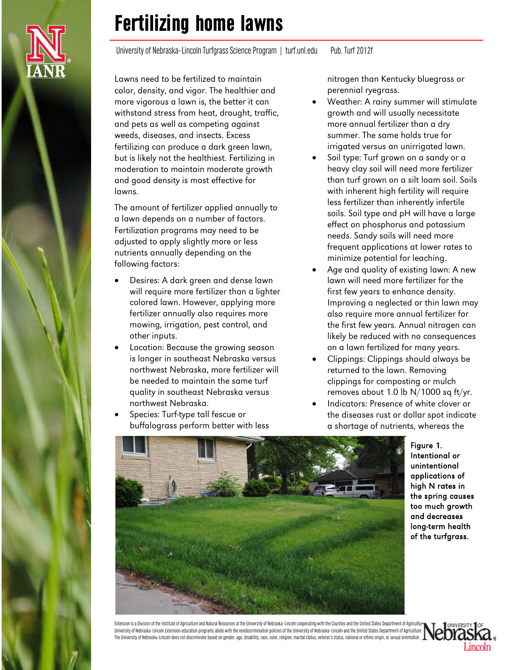University of Nebraska-Lincoln Turfgrass Science Program | turf.unl.edu Pub. Turf 2012f

Lawns need to be fertilized to maintain color, density, and vigor. The healthier and more vigorous a lawn is, the better it can withstand stress from heat, drought, traffic, and pets as well as competing against weeds, diseases, and insects. Excess fertilizing can produce a dark green lawn, but is likely not the healthiest. Fertilizing in moderation to maintain moderate growth and good density is most effective for lawns.

The amount of fertilizer applied annually to a lawn depends on a number of factors. Fertilization programs may need to be adjusted to apply slightly more or less nutrients annually depending on the following factors:

- Desires: A dark green and dense lawn will require more fertilizer than a lighter colored lawn. However, applying more fertilizer annually also requires more mowing, irrigation, pest control, and other inputs.
- Location: Because the growing season is longer in southeast Nebraska versus northwest Nebraska, more fertilizer will be needed to maintain the same turf quality in southeast Nebraska versus northwest Nebraska.
- Species: Turf-type tall fescue or buffalograss perform better with less

nitrogen than Kentucky bluegrass or perennial ryegrass.

- Weather: A rainy summer will stimulate growth and will usually necessitate more annual fertilizer than a dry summer. The same holds true for irrigated versus an unirrigated lawn.
- Soil type: Turf grown on a sandy or a heavy clay soil will need more fertilizer than turf grown on a silt loam soil. Soils with inherent high fertility will require less fertilizer than inherently infertile soils. Soil type and pH will have a large effect on phosphorus and potassium needs. Sandy soils will need more frequent applications at lower rates to minimize potential for leaching.
- Age and quality of existing lawn: A new lawn will need more fertilizer for the first few years to enhance density. Improving a neglected or thin lawn may also require more annual fertilizer for the first few years. Annual nitrogen can likely be reduced with no consequences on a lawn fertilized for many years.
- Clippings: Clippings should always be returned to the lawn. Removing clippings for composting or mulch removes about 1.0 lb N/1000 sq ft/yr.
- Indicators: Presence of white clover or the diseases rust or dollar spot indicate a shortage of nutrients, whereas the



Figure 1. Intentional or unintentional applications of high N rates in the spring causes too much growth and decreases long-term health of the turfgrass.

Extension is a Division of the Institute of Agriculture and Natural Resources at the University of Nebraska–Lincoln cooperating with the Counties and the United States Department of Agriculture. University of Nebraska–Lincoln Extension education programs abide with the nondiscrimination policies of the University of Nebraska–Lincoln and the United States Department of Agriculture. The University of Nebraska–Lincoln does not discriminate based on gender, age, disability, race, color, religion, marital status, veteran's status, national or ethnic origin, or sexual orientation.

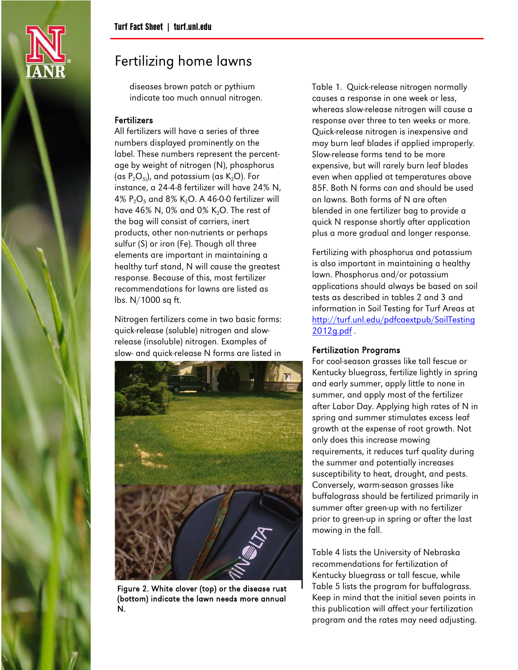

diseases brown patch or pythium indicate too much annual nitrogen.

### Fertilizers

All fertilizers will have a series of three numbers displayed prominently on the label. These numbers represent the percentage by weight of nitrogen (N), phosphorus (as  $P_2O_{5}$ ), and potassium (as  $K_2O$ ). For instance, a 24-4-8 fertilizer will have 24% N, 4%  $P_2O_5$  and 8% K<sub>2</sub>O. A 46-0-0 fertilizer will have 46% N, 0% and 0% K<sub>2</sub>O. The rest of the bag will consist of carriers, inert products, other non-nutrients or perhaps sulfur (S) or iron (Fe). Though all three elements are important in maintaining a healthy turf stand, N will cause the greatest response. Because of this, most fertilizer recommendations for lawns are listed as lbs. N/1000 sq ft.

Nitrogen fertilizers come in two basic forms: quick-release (soluble) nitrogen and slowrelease (insoluble) nitrogen. Examples of slow- and quick-release N forms are listed in



Figure 2. White clover (top) or the disease rust (bottom) indicate the lawn needs more annual N.

Table 1. Quick-release nitrogen normally causes a response in one week or less, whereas slow-release nitrogen will cause a response over three to ten weeks or more. Quick-release nitrogen is inexpensive and may burn leaf blades if applied improperly. Slow-release forms tend to be more expensive, but will rarely burn leaf blades even when applied at temperatures above 85F. Both N forms can and should be used on lawns. Both forms of N are often blended in one fertilizer bag to provide a quick N response shortly after application plus a more gradual and longer response.

Fertilizing with phosphorus and potassium is also important in maintaining a healthy lawn. Phosphorus and/or potassium applications should always be based on soil tests as described in tables 2 and 3 and information in Soil Testing for Turf Areas at [http://turf.unl.edu/pdfcaextpub/SoilTesting](http://turf.unl.edu/pdfcaextpub/SoilTesting2012g.pdf) [2012g.pdf](http://turf.unl.edu/pdfcaextpub/SoilTesting2012g.pdf) .

### Fertilization Programs

For cool-season grasses like tall fescue or Kentucky bluegrass, fertilize lightly in spring and early summer, apply little to none in summer, and apply most of the fertilizer after Labor Day. Applying high rates of N in spring and summer stimulates excess leaf growth at the expense of root growth. Not only does this increase mowing requirements, it reduces turf quality during the summer and potentially increases susceptibility to heat, drought, and pests. Conversely, warm-season grasses like buffalograss should be fertilized primarily in summer after green-up with no fertilizer prior to green-up in spring or after the last mowing in the fall.

Table 4 lists the University of Nebraska recommendations for fertilization of Kentucky bluegrass or tall fescue, while Table 5 lists the program for buffalograss. Keep in mind that the initial seven points in this publication will affect your fertilization program and the rates may need adjusting.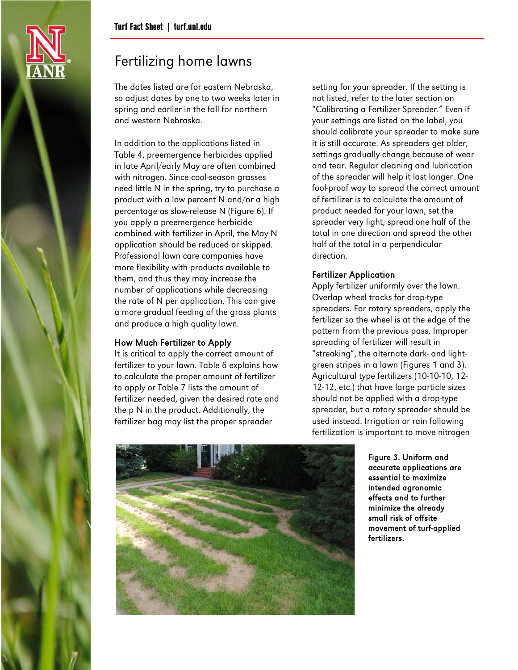

The dates listed are for eastern Nebraska, so adjust dates by one to two weeks later in spring and earlier in the fall for northern and western Nebraska.

In addition to the applications listed in Table 4, preemergence herbicides applied in late April/early May are often combined with nitrogen. Since cool-season grasses need little N in the spring, try to purchase a product with a low percent N and/or a high percentage as slow-release N (Figure 6). If you apply a preemergence herbicide combined with fertilizer in April, the May N application should be reduced or skipped. Professional lawn care companies have more flexibility with products available to them, and thus they may increase the number of applications while decreasing the rate of N per application. This can give a more gradual feeding of the grass plants and produce a high quality lawn.

### How Much Fertilizer to Apply

It is critical to apply the correct amount of fertilizer to your lawn. Table 6 explains how to calculate the proper amount of fertilizer to apply or Table 7 lists the amount of fertilizer needed, given the desired rate and the p N in the product. Additionally, the fertilizer bag may list the proper spreader

setting for your spreader. If the setting is not listed, refer to the later section on "Calibrating a Fertilizer Spreader." Even if your settings are listed on the label, you should calibrate your spreader to make sure it is still accurate. As spreaders get older, settings gradually change because of wear and tear. Regular cleaning and lubrication of the spreader will help it last longer. One fool-proof way to spread the correct amount of fertilizer is to calculate the amount of product needed for your lawn, set the spreader very light, spread one half of the total in one direction and spread the other half of the total in a perpendicular direction.

### Fertilizer Application

Apply fertilizer uniformly over the lawn. Overlap wheel tracks for drop-type spreaders. For rotary spreaders, apply the fertilizer so the wheel is at the edge of the pattern from the previous pass. Improper spreading of fertilizer will result in "streaking", the alternate dark- and lightgreen stripes in a lawn (Figures 1 and 3). Agricultural type fertilizers (10-10-10, 12- 12-12, etc.) that have large particle sizes should not be applied with a drop-type spreader, but a rotary spreader should be used instead. Irrigation or rain following fertilization is important to move nitrogen



Figure 3. Uniform and accurate applications are essential to maximize intended agronomic effects and to further minimize the already small risk of offsite movement of turf-applied fertilizers.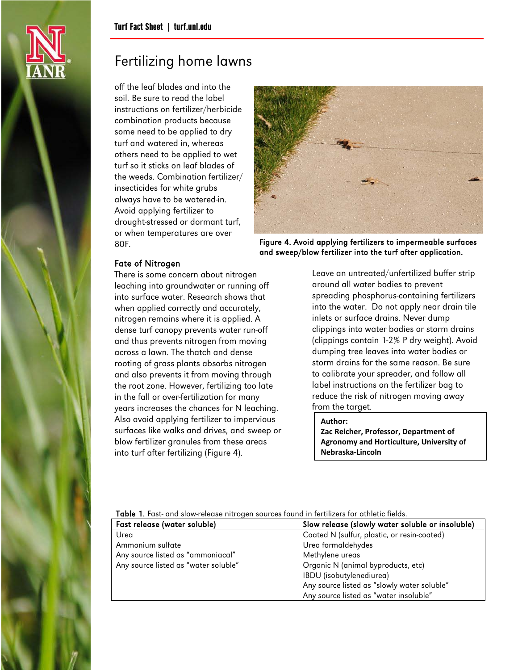

off the leaf blades and into the soil. Be sure to read the label instructions on fertilizer/herbicide combination products because some need to be applied to dry turf and watered in, whereas others need to be applied to wet turf so it sticks on leaf blades of the weeds. Combination fertilizer/ insecticides for white grubs always have to be watered-in. Avoid applying fertilizer to drought-stressed or dormant turf, or when temperatures are over 80F.



Figure 4. Avoid applying fertilizers to impermeable surfaces and sweep/blow fertilizer into the turf after application.

### Fate of Nitrogen

There is some concern about nitrogen leaching into groundwater or running off into surface water. Research shows that when applied correctly and accurately, nitrogen remains where it is applied. A dense turf canopy prevents water run-off and thus prevents nitrogen from moving across a lawn. The thatch and dense rooting of grass plants absorbs nitrogen and also prevents it from moving through the root zone. However, fertilizing too late in the fall or over-fertilization for many years increases the chances for N leaching. Also avoid applying fertilizer to impervious surfaces like walks and drives, and sweep or blow fertilizer granules from these areas into turf after fertilizing (Figure 4).

Leave an untreated/unfertilized buffer strip around all water bodies to prevent spreading phosphorus-containing fertilizers into the water. Do not apply near drain tile inlets or surface drains. Never dump clippings into water bodies or storm drains (clippings contain 1-2% P dry weight). Avoid dumping tree leaves into water bodies or storm drains for the same reason. Be sure to calibrate your spreader, and follow all label instructions on the fertilizer bag to reduce the risk of nitrogen moving away from the target.

#### **Author:**

**Zac Reicher, Professor, Department of Agronomy and Horticulture, University of Nebraska-Lincoln**

Table 1. Fast- and slow-release nitrogen sources found in fertilizers for athletic fields.

| Fast release (water soluble)         | Slow release (slowly water soluble or insoluble) |
|--------------------------------------|--------------------------------------------------|
| Urea                                 | Coated N (sulfur, plastic, or resin-coated)      |
| Ammonium sulfate                     | Urea formaldehydes                               |
| Any source listed as "ammoniacal"    | Methylene ureas                                  |
| Any source listed as "water soluble" | Organic N (animal byproducts, etc)               |
|                                      | IBDU (isobutylenediurea)                         |
|                                      | Any source listed as "slowly water soluble"      |
|                                      | Any source listed as "water insoluble"           |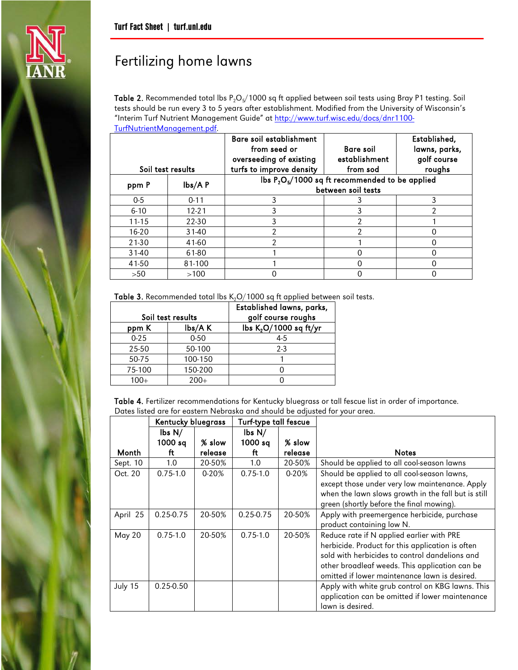

Table 2. Recommended total lbs  $P_2O_5/1000$  sq ft applied between soil tests using Bray P1 testing. Soil tests should be run every 3 to 5 years after establishment. Modified from the University of Wisconsin's "Interim Turf Nutrient Management Guide" at [http://www.turf.wisc.edu/docs/dnr1100-](http://www.turf.wisc.edu/docs/dnr1100-TurfNutrientManagement.pdf) [TurfNutrientManagement.pdf.](http://www.turf.wisc.edu/docs/dnr1100-TurfNutrientManagement.pdf)

| Soil test results |               | Bare soil establishment<br>from seed or<br>overseeding of existing<br>turfs to improve density | Established,<br>lawns, parks,<br>golf course<br>roughs |   |
|-------------------|---------------|------------------------------------------------------------------------------------------------|--------------------------------------------------------|---|
| ppm P             | $\frac{1}{2}$ | lbs $P_2O_5/1000$ sq ft recommended to be applied                                              |                                                        |   |
|                   |               |                                                                                                | between soil tests                                     |   |
| $0-5$             | $0 - 11$      |                                                                                                |                                                        |   |
| $6 - 10$          | $12 - 21$     |                                                                                                | 3                                                      | າ |
| $11 - 15$         | $22 - 30$     |                                                                                                | າ                                                      |   |
| $16 - 20$         | $31 - 40$     | 2                                                                                              | 2                                                      |   |
| $21 - 30$         | 41-60         | 2                                                                                              |                                                        |   |
| $31-40$           | 61-80         |                                                                                                |                                                        |   |
| 41-50             | 81-100        |                                                                                                |                                                        |   |
| >50               | >100          |                                                                                                |                                                        |   |

Table 3. Recommended total lbs  $K_2O/1000$  sq ft applied between soil tests.

|          |                              | Established lawns, parks,                                |
|----------|------------------------------|----------------------------------------------------------|
| ppm K    | Soil test results<br>lbs/A K | golf course roughs<br>lbs K <sub>2</sub> O/1000 sq ft/yr |
| $0 - 25$ | $0 - 50$                     | 4-5                                                      |
| 25-50    | 50-100                       | $2 - 3$                                                  |
| 50-75    | 100-150                      |                                                          |
| 75-100   | 150-200                      |                                                          |
| 100+     | $200+$                       |                                                          |

Table 4. Fertilizer recommendations for Kentucky bluegrass or tall fescue list in order of importance. Dates listed are for eastern Nebraska and should be adjusted for your area.

|          | Kentucky bluegrass          |           | Turf-type tall fescue       |         |                                                     |
|----------|-----------------------------|-----------|-----------------------------|---------|-----------------------------------------------------|
|          | $\mathsf{lbs}\ \mathsf{N}/$ |           | $\mathsf{lbs}\ \mathsf{N}/$ |         |                                                     |
|          | 1000 sq                     | % slow    | 1000 sq                     | % slow  |                                                     |
| Month    | ft                          | release   | ft                          | release | <b>Notes</b>                                        |
| Sept. 10 | 1.0                         | 20-50%    | 1.0                         | 20-50%  | Should be applied to all cool-season lawns          |
| Oct. 20  | $0.75 - 1.0$                | $0 - 20%$ | $0.75 - 1.0$                | $0-20%$ | Should be applied to all cool-season lawns,         |
|          |                             |           |                             |         | except those under very low maintenance. Apply      |
|          |                             |           |                             |         | when the lawn slows growth in the fall but is still |
|          |                             |           |                             |         | green (shortly before the final mowing).            |
| April 25 | $0.25 - 0.75$               | 20-50%    | $0.25 - 0.75$               | 20-50%  | Apply with preemergence herbicide, purchase         |
|          |                             |           |                             |         | product containing low N.                           |
| May 20   | $0.75 - 1.0$                | 20-50%    | $0.75 - 1.0$                | 20-50%  | Reduce rate if N applied earlier with PRE           |
|          |                             |           |                             |         | herbicide. Product for this application is often    |
|          |                             |           |                             |         | sold with herbicides to control dandelions and      |
|          |                             |           |                             |         | other broadleaf weeds. This application can be      |
|          |                             |           |                             |         | omitted if lower maintenance lawn is desired.       |
| July 15  | $0.25 - 0.50$               |           |                             |         | Apply with white grub control on KBG lawns. This    |
|          |                             |           |                             |         | application can be omitted if lower maintenance     |
|          |                             |           |                             |         | lawn is desired.                                    |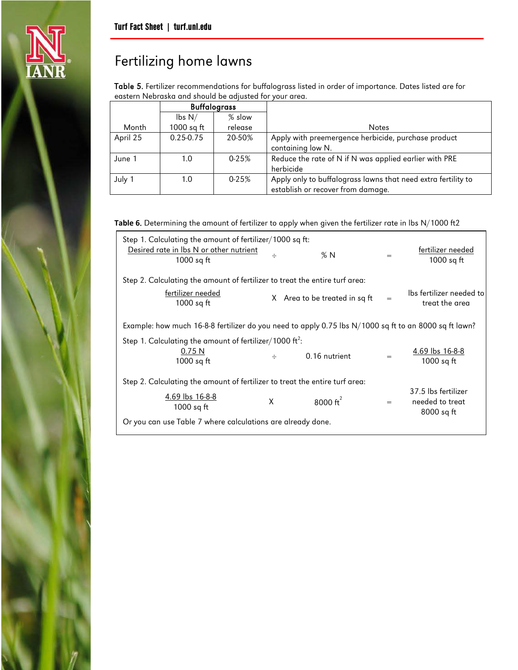

Table 5. Fertilizer recommendations for buffalograss listed in order of importance. Dates listed are for eastern Nebraska and should be adjusted for your area.

|          | <b>Buffalograss</b>         |           |                                                               |
|----------|-----------------------------|-----------|---------------------------------------------------------------|
|          | $\mathsf{lbs}\ \mathsf{N}/$ | $%$ slow  |                                                               |
| Month    | $1000$ sq ft                | release   | Notes                                                         |
| April 25 | $0.25 - 0.75$               | 20-50%    | Apply with preemergence herbicide, purchase product           |
|          |                             |           | containing low N.                                             |
| June 1   | 1.0                         | $0 - 25%$ | Reduce the rate of N if N was applied earlier with PRE        |
|          |                             |           | herbicide                                                     |
| July 1   | 1.0                         | $0 - 25%$ | Apply only to buffalograss lawns that need extra fertility to |
|          |                             |           | establish or recover from damage.                             |

**Table 6**. Determining the amount of fertilizer to apply when given the fertilizer rate in lbs N/1000 ft2

| Step 1. Calculating the amount of fertilizer/1000 sq ft:<br>Desired rate in lbs N or other nutrient<br>1000 sq ft | ÷ | %N                            | $=$ | fertilizer needed<br>1000 sq $ft$                    |
|-------------------------------------------------------------------------------------------------------------------|---|-------------------------------|-----|------------------------------------------------------|
| Step 2. Calculating the amount of fertilizer to treat the entire turf area:                                       |   |                               |     |                                                      |
| fertilizer needed<br>1000 sq ft                                                                                   |   | X Area to be treated in sq ft |     | Ibs fertilizer needed to<br>treat the area           |
| Example: how much 16-8-8 fertilizer do you need to apply 0.75 lbs N/1000 sq ft to an 8000 sq ft lawn?             |   |                               |     |                                                      |
| Step 1. Calculating the amount of fertilizer/1000 ft <sup>2</sup> :                                               |   |                               |     |                                                      |
| 0.75N<br>$1000$ sq ft                                                                                             | ÷ | 0.16 nutrient                 | $=$ | 4.69 lbs 16-8-8<br>$1000$ sq ft                      |
| Step 2. Calculating the amount of fertilizer to treat the entire turf area:                                       |   |                               |     |                                                      |
| 4.69 lbs 16-8-8<br>1000 sq ft                                                                                     | X | 8000 $\text{ft}^2$            | $=$ | 37.5 lbs fertilizer<br>needed to treat<br>8000 sq ft |
| Or you can use Table 7 where calculations are already done.                                                       |   |                               |     |                                                      |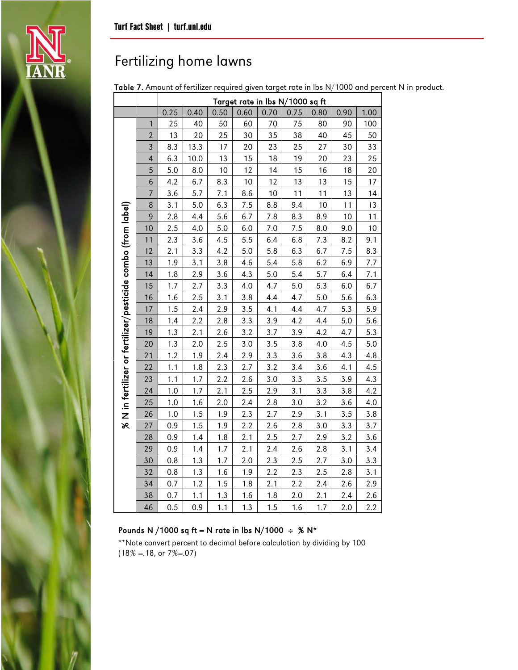Table 7. Amount of fertilizer required given target rate in lbs N/1000 and percent N in product.

|                                                                 |                                                      | Target rate in lbs N/1000 sq ft |      |     |     |     |     |      |      |     |
|-----------------------------------------------------------------|------------------------------------------------------|---------------------------------|------|-----|-----|-----|-----|------|------|-----|
|                                                                 | 0.25<br>0.50<br>0.60<br>0.40<br>0.70<br>0.75<br>0.80 |                                 |      |     |     |     |     | 0.90 | 1.00 |     |
|                                                                 | 1                                                    | 25                              | 40   | 50  | 60  | 70  | 75  | 80   | 90   | 100 |
|                                                                 | $\overline{2}$                                       | 13                              | 20   | 25  | 30  | 35  | 38  | 40   | 45   | 50  |
|                                                                 | 3                                                    | 8.3                             | 13.3 | 17  | 20  | 23  | 25  | 27   | 30   | 33  |
|                                                                 | 4                                                    | 6.3                             | 10.0 | 13  | 15  | 18  | 19  | 20   | 23   | 25  |
|                                                                 | 5                                                    | 5.0                             | 8.0  | 10  | 12  | 14  | 15  | 16   | 18   | 20  |
|                                                                 | 6                                                    | 4.2                             | 6.7  | 8.3 | 10  | 12  | 13  | 13   | 15   | 17  |
|                                                                 | 7                                                    | 3.6                             | 5.7  | 7.1 | 8.6 | 10  | 11  | 11   | 13   | 14  |
|                                                                 | 8                                                    | 3.1                             | 5.0  | 6.3 | 7.5 | 8.8 | 9.4 | 10   | 11   | 13  |
|                                                                 | $\overline{9}$                                       | 2.8                             | 4.4  | 5.6 | 6.7 | 7.8 | 8.3 | 8.9  | 10   | 11  |
|                                                                 | 10                                                   | 2.5                             | 4.0  | 5.0 | 6.0 | 7.0 | 7.5 | 8.0  | 9.0  | 10  |
|                                                                 | 11                                                   | 2.3                             | 3.6  | 4.5 | 5.5 | 6.4 | 6.8 | 7.3  | 8.2  | 9.1 |
|                                                                 | 12                                                   | 2.1                             | 3.3  | 4.2 | 5.0 | 5.8 | 6.3 | 6.7  | 7.5  | 8.3 |
|                                                                 | 13                                                   | 1.9                             | 3.1  | 3.8 | 4.6 | 5.4 | 5.8 | 6.2  | 6.9  | 7.7 |
| $\%$ N in fertilizer or fertilizer/pesticide combo (from label) | 14                                                   | 1.8                             | 2.9  | 3.6 | 4.3 | 5.0 | 5.4 | 5.7  | 6.4  | 7.1 |
|                                                                 | 15                                                   | 1.7                             | 2.7  | 3.3 | 4.0 | 4.7 | 5.0 | 5.3  | 6.0  | 6.7 |
|                                                                 | 16                                                   | 1.6                             | 2.5  | 3.1 | 3.8 | 4.4 | 4.7 | 5.0  | 5.6  | 6.3 |
|                                                                 | 17                                                   | 1.5                             | 2.4  | 2.9 | 3.5 | 4.1 | 4.4 | 4.7  | 5.3  | 5.9 |
|                                                                 | 18                                                   | 1.4                             | 2.2  | 2.8 | 3.3 | 3.9 | 4.2 | 4.4  | 5.0  | 5.6 |
|                                                                 | 19                                                   | 1.3                             | 2.1  | 2.6 | 3.2 | 3.7 | 3.9 | 4.2  | 4.7  | 5.3 |
|                                                                 | 20                                                   | 1.3                             | 2.0  | 2.5 | 3.0 | 3.5 | 3.8 | 4.0  | 4.5  | 5.0 |
|                                                                 | 21                                                   | 1.2                             | 1.9  | 2.4 | 2.9 | 3.3 | 3.6 | 3.8  | 4.3  | 4.8 |
|                                                                 | 22                                                   | 1.1                             | 1.8  | 2.3 | 2.7 | 3.2 | 3.4 | 3.6  | 4.1  | 4.5 |
|                                                                 | 23                                                   | 1.1                             | 1.7  | 2.2 | 2.6 | 3.0 | 3.3 | 3.5  | 3.9  | 4.3 |
|                                                                 | 24                                                   | 1.0                             | 1.7  | 2.1 | 2.5 | 2.9 | 3.1 | 3.3  | 3.8  | 4.2 |
|                                                                 | 25                                                   | 1.0                             | 1.6  | 2.0 | 2.4 | 2.8 | 3.0 | 3.2  | 3.6  | 4.0 |
|                                                                 | 26                                                   | 1.0                             | 1.5  | 1.9 | 2.3 | 2.7 | 2.9 | 3.1  | 3.5  | 3.8 |
|                                                                 | 27                                                   | 0.9                             | 1.5  | 1.9 | 2.2 | 2.6 | 2.8 | 3.0  | 3.3  | 3.7 |
|                                                                 | 28                                                   | 0.9                             | 1.4  | 1.8 | 2.1 | 2.5 | 2.7 | 2.9  | 3.2  | 3.6 |
|                                                                 | 29                                                   | 0.9                             | 1.4  | 1.7 | 2.1 | 2.4 | 2.6 | 2.8  | 3.1  | 3.4 |
|                                                                 | 30                                                   | 0.8                             | 1.3  | 1.7 | 2.0 | 2.3 | 2.5 | 2.7  | 3.0  | 3.3 |
|                                                                 | 32                                                   | 0.8                             | 1.3  | 1.6 | 1.9 | 2.2 | 2.3 | 2.5  | 2.8  | 3.1 |
|                                                                 | 34                                                   | 0.7                             | 1.2  | 1.5 | 1.8 | 2.1 | 2.2 | 2.4  | 2.6  | 2.9 |
|                                                                 | 38                                                   | 0.7                             | 1.1  | 1.3 | 1.6 | 1.8 | 2.0 | 2.1  | 2.4  | 2.6 |
|                                                                 | 46                                                   | 0.5                             | 0.9  | 1.1 | 1.3 | 1.5 | 1.6 | 1.7  | 2.0  | 2.2 |

### Pounds N /1000 sq ft = N rate in lbs N/1000  $\div$  % N\*

\*\*Note convert percent to decimal before calculation by dividing by 100  $(18\% = 18, \text{ or } 7\% = 07)$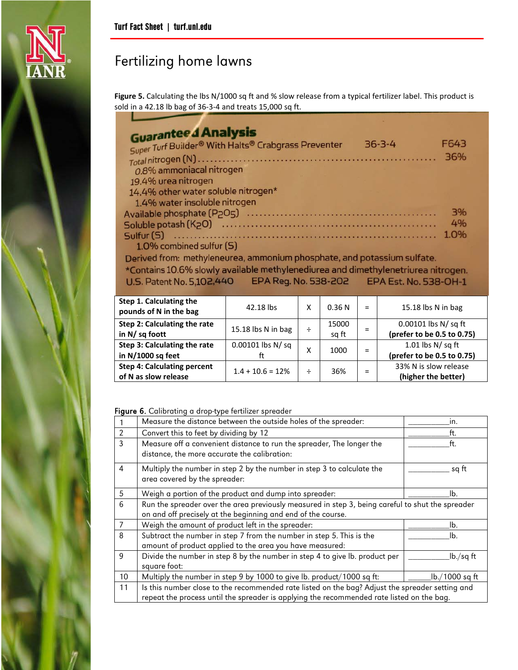

**Figure 5.** Calculating the lbs N/1000 sq ft and % slow release from a typical fertilizer label. This product is sold in a 42.18 lb bag of 36-3-4 and treats 15,000 sq ft.

| F643 |
|------|
|      |
| 36%  |
|      |
|      |
|      |
|      |
| 3%   |
| 4%   |
| 1.0% |
|      |
|      |
|      |

Derived from: methyleneurea, ammonium phosphate, and potassium sulfate. \*Contains 10.6% slowly available methylenediurea and dimethylenetriurea nitrogen. EPA Reg. No. 538-202 U.S. Patent No. 5,102,440 EPA Est. No. 538-OH-1

| Step 1. Calculating the<br>pounds of N in the bag          | 42.18 lbs                | χ | 0.36N          | $=$ | 15.18 lbs N in bag                                    |
|------------------------------------------------------------|--------------------------|---|----------------|-----|-------------------------------------------------------|
| Step 2: Calculating the rate<br>in $N/sq$ foott            | 15.18 lbs N in bag       | ÷ | 15000<br>sq ft | $=$ | 0.00101 lbs $N / sq$ ft<br>(prefer to be 0.5 to 0.75) |
| Step 3: Calculating the rate<br>in N/1000 sq feet          | $0.00101$ lbs N/sq<br>ft | x | 1000           | $=$ | 1.01 lbs $N/sq$ ft<br>(prefer to be 0.5 to 0.75)      |
| <b>Step 4: Calculating percent</b><br>of N as slow release | $1.4 + 10.6 = 12\%$      | ÷ | 36%            | $=$ | 33% N is slow release<br>(higher the better)          |

Figure 6. Calibrating a drop-type fertilizer spreader

|                | <b>rigare of canorating a drop type refunzer opreduct</b>                                                                                                                                    |                |
|----------------|----------------------------------------------------------------------------------------------------------------------------------------------------------------------------------------------|----------------|
|                | Measure the distance between the outside holes of the spreader:                                                                                                                              | in.            |
| 2              | Convert this to feet by dividing by 12                                                                                                                                                       | ft.            |
| 3              | Measure off a convenient distance to run the spreader, The longer the<br>distance, the more accurate the calibration:                                                                        | ft.            |
| 4              | Multiply the number in step 2 by the number in step 3 to calculate the<br>area covered by the spreader:                                                                                      | sq ft          |
| 5              | Weigh a portion of the product and dump into spreader:                                                                                                                                       | lb.            |
| 6              | Run the spreader over the area previously measured in step 3, being careful to shut the spreader<br>on and off precisely at the beginning and end of the course.                             |                |
| $\overline{7}$ | Weigh the amount of product left in the spreader:                                                                                                                                            | lb.            |
| 8              | Subtract the number in step 7 from the number in step 5. This is the<br>amount of product applied to the area you have measured:                                                             | lb.            |
| 9              | Divide the number in step 8 by the number in step 4 to give lb. product per<br>square foot:                                                                                                  | lb./sq ft      |
| 10             | Multiply the number in step 9 by 1000 to give lb. product/1000 sq ft:                                                                                                                        | lb./1000 sq ft |
| 11             | Is this number close to the recommended rate listed on the bag? Adjust the spreader setting and<br>repeat the process until the spreader is applying the recommended rate listed on the bag. |                |